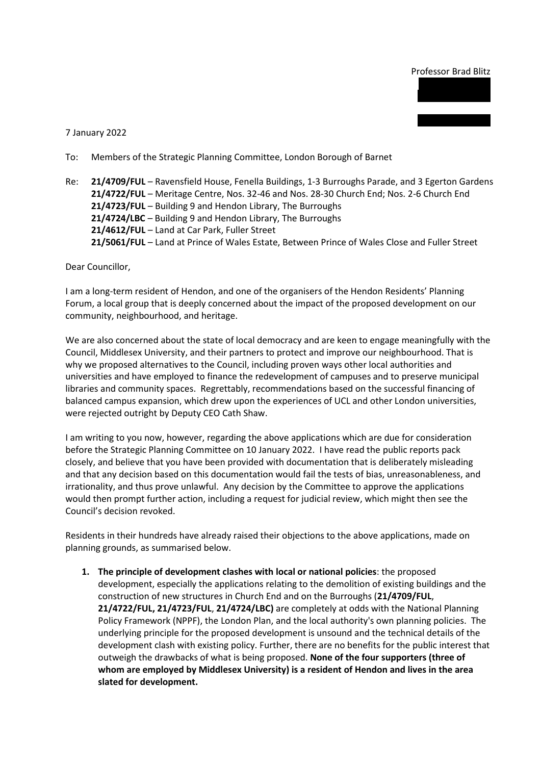## Professor Brad Blitz

7 January 2022

- To: Members of the Strategic Planning Committee, London Borough of Barnet
- Re: **21/4709/FUL** Ravensfield House, Fenella Buildings, 1-3 Burroughs Parade, and 3 Egerton Gardens **21/4722/FUL** – Meritage Centre, Nos. 32-46 and Nos. 28-30 Church End; Nos. 2-6 Church End **21/4723/FUL** – Building 9 and Hendon Library, The Burroughs **21/4724/LBC** – Building 9 and Hendon Library, The Burroughs **21/4612/FUL** – Land at Car Park, Fuller Street **21/5061/FUL** – Land at Prince of Wales Estate, Between Prince of Wales Close and Fuller Street

Dear Councillor,

I am a long-term resident of Hendon, and one of the organisers of the Hendon Residents' Planning Forum, a local group that is deeply concerned about the impact of the proposed development on our community, neighbourhood, and heritage.

We are also concerned about the state of local democracy and are keen to engage meaningfully with the Council, Middlesex University, and their partners to protect and improve our neighbourhood. That is why we proposed alternatives to the Council, including proven ways other local authorities and universities and have employed to finance the redevelopment of campuses and to preserve municipal libraries and community spaces. Regrettably, recommendations based on the successful financing of balanced campus expansion, which drew upon the experiences of UCL and other London universities, were rejected outright by Deputy CEO Cath Shaw.

I am writing to you now, however, regarding the above applications which are due for consideration before the Strategic Planning Committee on 10 January 2022. I have read the public reports pack closely, and believe that you have been provided with documentation that is deliberately misleading and that any decision based on this documentation would fail the tests of bias, unreasonableness, and irrationality, and thus prove unlawful. Any decision by the Committee to approve the applications would then prompt further action, including a request for judicial review, which might then see the Council's decision revoked.

Residents in their hundreds have already raised their objections to the above applications, made on planning grounds, as summarised below.

**1. The principle of development clashes with local or national policies**: the proposed development, especially the applications relating to the demolition of existing buildings and the construction of new structures in Church End and on the Burroughs (**21/4709/FUL**, **21/4722/FUL, 21/4723/FUL**, **21/4724/LBC)** are completely at odds with the National Planning Policy Framework (NPPF), the London Plan, and the local authority's own planning policies. The underlying principle for the proposed development is unsound and the technical details of the development clash with existing policy. Further, there are no benefits for the public interest that outweigh the drawbacks of what is being proposed. **None of the four supporters (three of whom are employed by Middlesex University) is a resident of Hendon and lives in the area slated for development.**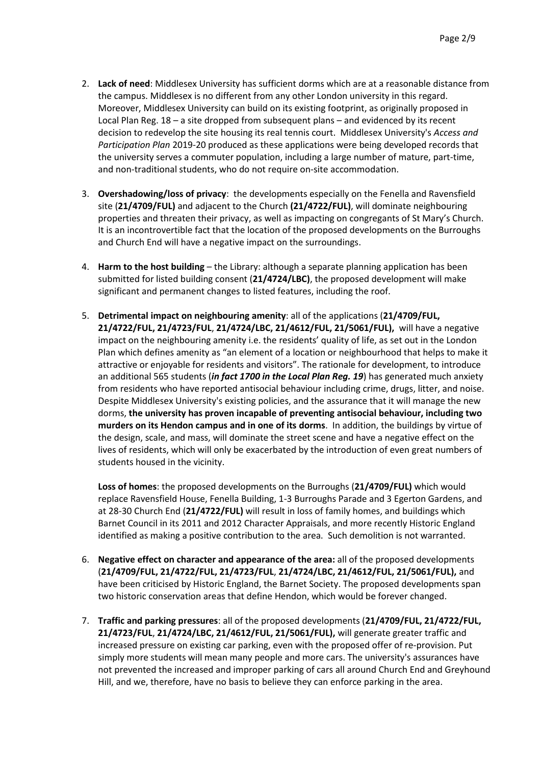- 2. **Lack of need**: Middlesex University has sufficient dorms which are at a reasonable distance from the campus. Middlesex is no different from any other London university in this regard. Moreover, Middlesex University can build on its existing footprint, as originally proposed in Local Plan Reg. 18 – a site dropped from subsequent plans – and evidenced by its recent decision to redevelop the site housing its real tennis court. Middlesex University's *Access and Participation Plan* 2019-20 produced as these applications were being developed records that the university serves a commuter population, including a large number of mature, part-time, and non-traditional students, who do not require on-site accommodation.
- 3. **Overshadowing/loss of privacy**: the developments especially on the Fenella and Ravensfield site (**21/4709/FUL)** and adjacent to the Church **(21/4722/FUL)**, will dominate neighbouring properties and threaten their privacy, as well as impacting on congregants of St Mary's Church. It is an incontrovertible fact that the location of the proposed developments on the Burroughs and Church End will have a negative impact on the surroundings.
- 4. **Harm to the host building** the Library: although a separate planning application has been submitted for listed building consent (**21/4724/LBC)**, the proposed development will make significant and permanent changes to listed features, including the roof.
- 5. **Detrimental impact on neighbouring amenity**: all of the applications (**21/4709/FUL, 21/4722/FUL, 21/4723/FUL**, **21/4724/LBC, 21/4612/FUL, 21/5061/FUL),** will have a negative impact on the neighbouring amenity i.e. the residents' quality of life, as set out in the London Plan which defines amenity as "an element of a location or neighbourhood that helps to make it attractive or enjoyable for residents and visitors". The rationale for development, to introduce an additional 565 students (*in fact 1700 in the Local Plan Reg. 19*) has generated much anxiety from residents who have reported antisocial behaviour including crime, drugs, litter, and noise. Despite Middlesex University's existing policies, and the assurance that it will manage the new dorms, **the university has proven incapable of preventing antisocial behaviour, including two murders on its Hendon campus and in one of its dorms**. In addition, the buildings by virtue of the design, scale, and mass, will dominate the street scene and have a negative effect on the lives of residents, which will only be exacerbated by the introduction of even great numbers of students housed in the vicinity.

**Loss of homes**: the proposed developments on the Burroughs (**21/4709/FUL)** which would replace Ravensfield House, Fenella Building, 1-3 Burroughs Parade and 3 Egerton Gardens, and at 28-30 Church End (**21/4722/FUL)** will result in loss of family homes, and buildings which Barnet Council in its 2011 and 2012 Character Appraisals, and more recently Historic England identified as making a positive contribution to the area. Such demolition is not warranted.

- 6. **Negative effect on character and appearance of the area:** all of the proposed developments (**21/4709/FUL, 21/4722/FUL, 21/4723/FUL**, **21/4724/LBC, 21/4612/FUL, 21/5061/FUL),** and have been criticised by Historic England, the Barnet Society. The proposed developments span two historic conservation areas that define Hendon, which would be forever changed.
- 7. **Traffic and parking pressures**: all of the proposed developments (**21/4709/FUL, 21/4722/FUL, 21/4723/FUL**, **21/4724/LBC, 21/4612/FUL, 21/5061/FUL),** will generate greater traffic and increased pressure on existing car parking, even with the proposed offer of re-provision. Put simply more students will mean many people and more cars. The university's assurances have not prevented the increased and improper parking of cars all around Church End and Greyhound Hill, and we, therefore, have no basis to believe they can enforce parking in the area.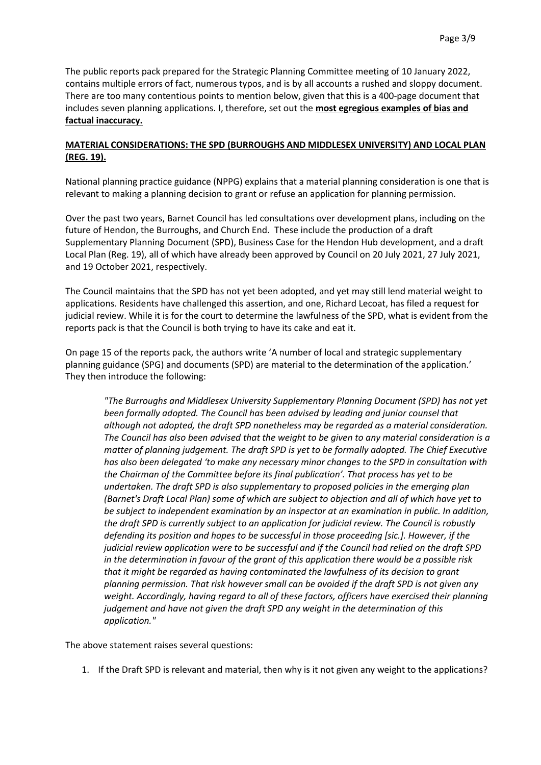The public reports pack prepared for the Strategic Planning Committee meeting of 10 January 2022, contains multiple errors of fact, numerous typos, and is by all accounts a rushed and sloppy document. There are too many contentious points to mention below, given that this is a 400-page document that includes seven planning applications. I, therefore, set out the **most egregious examples of bias and factual inaccuracy.**

# **MATERIAL CONSIDERATIONS: THE SPD (BURROUGHS AND MIDDLESEX UNIVERSITY) AND LOCAL PLAN (REG. 19).**

National planning practice guidance (NPPG) explains that a material planning consideration is one that is relevant to making a planning decision to grant or refuse an application for planning permission.

Over the past two years, Barnet Council has led consultations over development plans, including on the future of Hendon, the Burroughs, and Church End. These include the production of a draft Supplementary Planning Document (SPD), Business Case for the Hendon Hub development, and a draft Local Plan (Reg. 19), all of which have already been approved by Council on 20 July 2021, 27 July 2021, and 19 October 2021, respectively.

The Council maintains that the SPD has not yet been adopted, and yet may still lend material weight to applications. Residents have challenged this assertion, and one, Richard Lecoat, has filed a request for judicial review. While it is for the court to determine the lawfulness of the SPD, what is evident from the reports pack is that the Council is both trying to have its cake and eat it.

On page 15 of the reports pack, the authors write 'A number of local and strategic supplementary planning guidance (SPG) and documents (SPD) are material to the determination of the application.' They then introduce the following:

*"The Burroughs and Middlesex University Supplementary Planning Document (SPD) has not yet been formally adopted. The Council has been advised by leading and junior counsel that although not adopted, the draft SPD nonetheless may be regarded as a material consideration. The Council has also been advised that the weight to be given to any material consideration is a matter of planning judgement. The draft SPD is yet to be formally adopted. The Chief Executive has also been delegated 'to make any necessary minor changes to the SPD in consultation with the Chairman of the Committee before its final publication'. That process has yet to be undertaken. The draft SPD is also supplementary to proposed policies in the emerging plan (Barnet's Draft Local Plan) some of which are subject to objection and all of which have yet to be subject to independent examination by an inspector at an examination in public. In addition, the draft SPD is currently subject to an application for judicial review. The Council is robustly defending its position and hopes to be successful in those proceeding [sic.]. However, if the judicial review application were to be successful and if the Council had relied on the draft SPD in the determination in favour of the grant of this application there would be a possible risk that it might be regarded as having contaminated the lawfulness of its decision to grant planning permission. That risk however small can be avoided if the draft SPD is not given any weight. Accordingly, having regard to all of these factors, officers have exercised their planning judgement and have not given the draft SPD any weight in the determination of this application."*

The above statement raises several questions:

1. If the Draft SPD is relevant and material, then why is it not given any weight to the applications?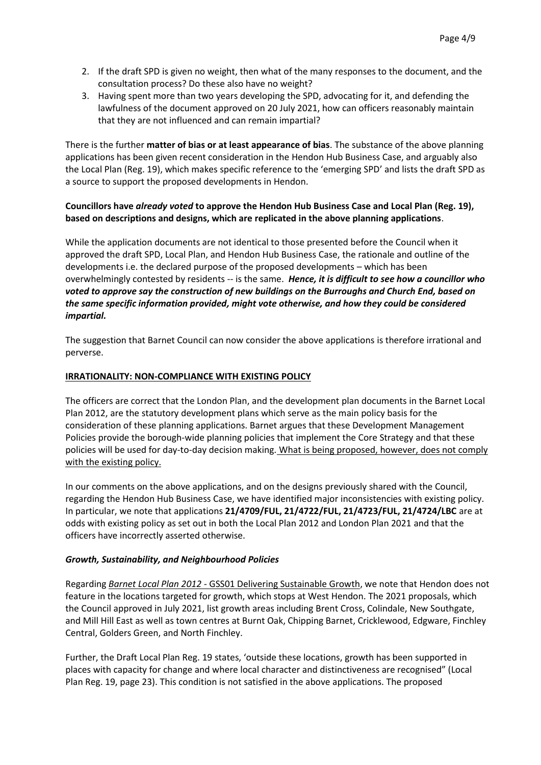- 2. If the draft SPD is given no weight, then what of the many responses to the document, and the consultation process? Do these also have no weight?
- 3. Having spent more than two years developing the SPD, advocating for it, and defending the lawfulness of the document approved on 20 July 2021, how can officers reasonably maintain that they are not influenced and can remain impartial?

There is the further **matter of bias or at least appearance of bias**. The substance of the above planning applications has been given recent consideration in the Hendon Hub Business Case, and arguably also the Local Plan (Reg. 19), which makes specific reference to the 'emerging SPD' and lists the draft SPD as a source to support the proposed developments in Hendon.

## **Councillors have** *already voted* **to approve the Hendon Hub Business Case and Local Plan (Reg. 19), based on descriptions and designs, which are replicated in the above planning applications**.

While the application documents are not identical to those presented before the Council when it approved the draft SPD, Local Plan, and Hendon Hub Business Case, the rationale and outline of the developments i.e. the declared purpose of the proposed developments – which has been overwhelmingly contested by residents -- is the same. *Hence, it is difficult to see how a councillor who voted to approve say the construction of new buildings on the Burroughs and Church End, based on the same specific information provided, might vote otherwise, and how they could be considered impartial.* 

The suggestion that Barnet Council can now consider the above applications is therefore irrational and perverse.

#### **IRRATIONALITY: NON-COMPLIANCE WITH EXISTING POLICY**

The officers are correct that the London Plan, and the development plan documents in the Barnet Local Plan 2012, are the statutory development plans which serve as the main policy basis for the consideration of these planning applications. Barnet argues that these Development Management Policies provide the borough-wide planning policies that implement the Core Strategy and that these policies will be used for day-to-day decision making. What is being proposed, however, does not comply with the existing policy.

In our comments on the above applications, and on the designs previously shared with the Council, regarding the Hendon Hub Business Case, we have identified major inconsistencies with existing policy. In particular, we note that applications **21/4709/FUL, 21/4722/FUL, 21/4723/FUL, 21/4724/LBC** are at odds with existing policy as set out in both the Local Plan 2012 and London Plan 2021 and that the officers have incorrectly asserted otherwise.

# *Growth, Sustainability, and Neighbourhood Policies*

Regarding *Barnet Local Plan 2012 -* GSS01 Delivering Sustainable Growth, we note that Hendon does not feature in the locations targeted for growth, which stops at West Hendon. The 2021 proposals, which the Council approved in July 2021, list growth areas including Brent Cross, Colindale, New Southgate, and Mill Hill East as well as town centres at Burnt Oak, Chipping Barnet, Cricklewood, Edgware, Finchley Central, Golders Green, and North Finchley.

Further, the Draft Local Plan Reg. 19 states, 'outside these locations, growth has been supported in places with capacity for change and where local character and distinctiveness are recognised" (Local Plan Reg. 19, page 23). This condition is not satisfied in the above applications. The proposed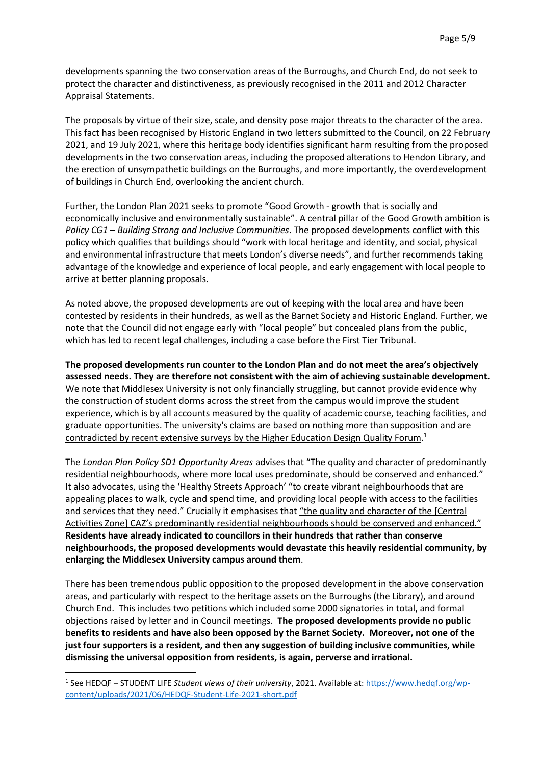developments spanning the two conservation areas of the Burroughs, and Church End, do not seek to protect the character and distinctiveness, as previously recognised in the 2011 and 2012 Character Appraisal Statements.

The proposals by virtue of their size, scale, and density pose major threats to the character of the area. This fact has been recognised by Historic England in two letters submitted to the Council, on 22 February 2021, and 19 July 2021, where this heritage body identifies significant harm resulting from the proposed developments in the two conservation areas, including the proposed alterations to Hendon Library, and the erection of unsympathetic buildings on the Burroughs, and more importantly, the overdevelopment of buildings in Church End, overlooking the ancient church.

Further, the London Plan 2021 seeks to promote "Good Growth - growth that is socially and economically inclusive and environmentally sustainable". A central pillar of the Good Growth ambition is *Policy CG1 – Building Strong and Inclusive Communities*. The proposed developments conflict with this policy which qualifies that buildings should "work with local heritage and identity, and social, physical and environmental infrastructure that meets London's diverse needs", and further recommends taking advantage of the knowledge and experience of local people, and early engagement with local people to arrive at better planning proposals.

As noted above, the proposed developments are out of keeping with the local area and have been contested by residents in their hundreds, as well as the Barnet Society and Historic England. Further, we note that the Council did not engage early with "local people" but concealed plans from the public, which has led to recent legal challenges, including a case before the First Tier Tribunal.

**The proposed developments run counter to the London Plan and do not meet the area's objectively assessed needs. They are therefore not consistent with the aim of achieving sustainable development.** We note that Middlesex University is not only financially struggling, but cannot provide evidence why the construction of student dorms across the street from the campus would improve the student experience, which is by all accounts measured by the quality of academic course, teaching facilities, and graduate opportunities. The university's claims are based on nothing more than supposition and are contradicted by recent extensive surveys by the Higher Education Design Quality Forum.<sup>1</sup>

The *London Plan Policy SD1 Opportunity Areas* advises that "The quality and character of predominantly residential neighbourhoods, where more local uses predominate, should be conserved and enhanced." It also advocates, using the 'Healthy Streets Approach' "to create vibrant neighbourhoods that are appealing places to walk, cycle and spend time, and providing local people with access to the facilities and services that they need." Crucially it emphasises that "the quality and character of the [Central Activities Zone] CAZ's predominantly residential neighbourhoods should be conserved and enhanced." **Residents have already indicated to councillors in their hundreds that rather than conserve neighbourhoods, the proposed developments would devastate this heavily residential community, by enlarging the Middlesex University campus around them**.

There has been tremendous public opposition to the proposed development in the above conservation areas, and particularly with respect to the heritage assets on the Burroughs (the Library), and around Church End. This includes two petitions which included some 2000 signatories in total, and formal objections raised by letter and in Council meetings. **The proposed developments provide no public benefits to residents and have also been opposed by the Barnet Society. Moreover, not one of the just four supporters is a resident, and then any suggestion of building inclusive communities, while dismissing the universal opposition from residents, is again, perverse and irrational.**

1

<sup>1</sup> See HEDQF – STUDENT LIFE *Student views of their university*, 2021. Available at: [https://www.hedqf.org/wp](https://www.hedqf.org/wp-content/uploads/2021/06/HEDQF-Student-Life-2021-short.pdf)[content/uploads/2021/06/HEDQF-Student-Life-2021-short.pdf](https://www.hedqf.org/wp-content/uploads/2021/06/HEDQF-Student-Life-2021-short.pdf)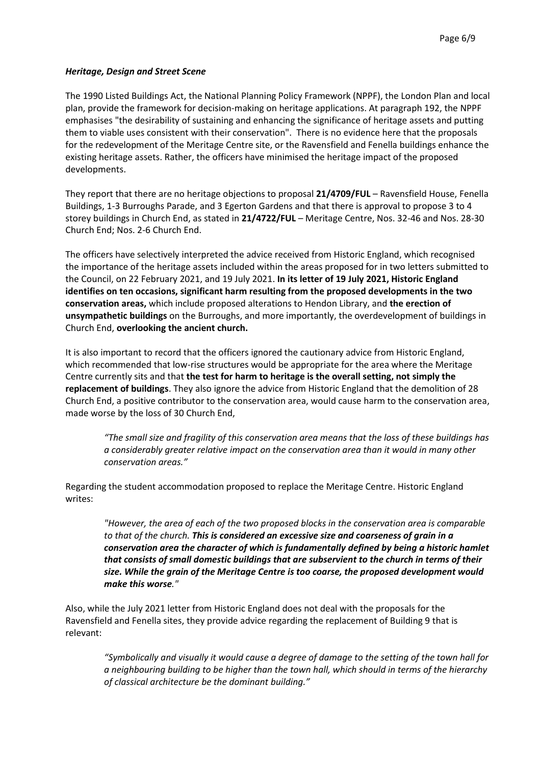#### *Heritage, Design and Street Scene*

The 1990 Listed Buildings Act, the National Planning Policy Framework (NPPF), the London Plan and local plan, provide the framework for decision-making on heritage applications. At paragraph 192, the NPPF emphasises "the desirability of sustaining and enhancing the significance of heritage assets and putting them to viable uses consistent with their conservation". There is no evidence here that the proposals for the redevelopment of the Meritage Centre site, or the Ravensfield and Fenella buildings enhance the existing heritage assets. Rather, the officers have minimised the heritage impact of the proposed developments.

They report that there are no heritage objections to proposal **21/4709/FUL** – Ravensfield House, Fenella Buildings, 1-3 Burroughs Parade, and 3 Egerton Gardens and that there is approval to propose 3 to 4 storey buildings in Church End, as stated in **21/4722/FUL** – Meritage Centre, Nos. 32-46 and Nos. 28-30 Church End; Nos. 2-6 Church End.

The officers have selectively interpreted the advice received from Historic England, which recognised the importance of the heritage assets included within the areas proposed for in two letters submitted to the Council, on 22 February 2021, and 19 July 2021. **In its letter of 19 July 2021, Historic England identifies on ten occasions, significant harm resulting from the proposed developments in the two conservation areas,** which include proposed alterations to Hendon Library, and **the erection of unsympathetic buildings** on the Burroughs, and more importantly, the overdevelopment of buildings in Church End, **overlooking the ancient church.** 

It is also important to record that the officers ignored the cautionary advice from Historic England, which recommended that low-rise structures would be appropriate for the area where the Meritage Centre currently sits and that **the test for harm to heritage is the overall setting, not simply the replacement of buildings**. They also ignore the advice from Historic England that the demolition of 28 Church End, a positive contributor to the conservation area, would cause harm to the conservation area, made worse by the loss of 30 Church End,

*"The small size and fragility of this conservation area means that the loss of these buildings has a considerably greater relative impact on the conservation area than it would in many other conservation areas."*

Regarding the student accommodation proposed to replace the Meritage Centre. Historic England writes:

*"However, the area of each of the two proposed blocks in the conservation area is comparable to that of the church. This is considered an excessive size and coarseness of grain in a conservation area the character of which is fundamentally defined by being a historic hamlet that consists of small domestic buildings that are subservient to the church in terms of their size. While the grain of the Meritage Centre is too coarse, the proposed development would make this worse."*

Also, while the July 2021 letter from Historic England does not deal with the proposals for the Ravensfield and Fenella sites, they provide advice regarding the replacement of Building 9 that is relevant:

*"Symbolically and visually it would cause a degree of damage to the setting of the town hall for a neighbouring building to be higher than the town hall, which should in terms of the hierarchy of classical architecture be the dominant building."*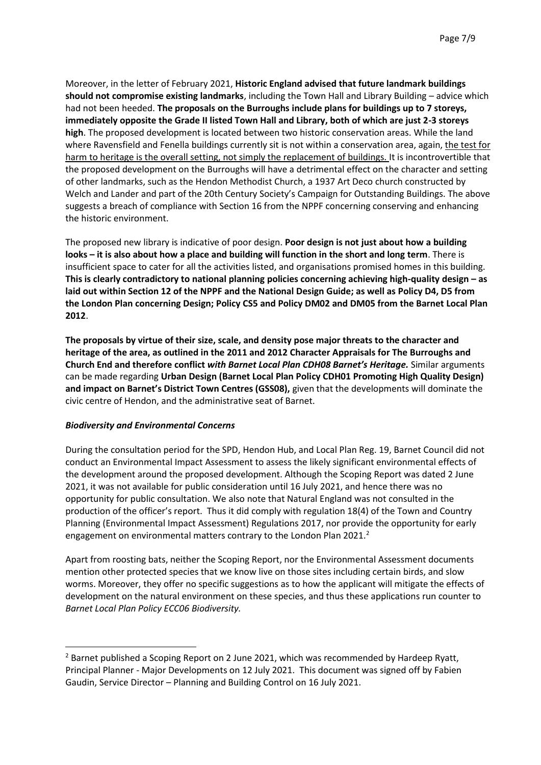Moreover, in the letter of February 2021, **Historic England advised that future landmark buildings should not compromise existing landmarks**, including the Town Hall and Library Building – advice which had not been heeded. **The proposals on the Burroughs include plans for buildings up to 7 storeys, immediately opposite the Grade II listed Town Hall and Library, both of which are just 2-3 storeys high**. The proposed development is located between two historic conservation areas. While the land where Ravensfield and Fenella buildings currently sit is not within a conservation area, again, the test for harm to heritage is the overall setting, not simply the replacement of buildings. It is incontrovertible that the proposed development on the Burroughs will have a detrimental effect on the character and setting of other landmarks, such as the Hendon Methodist Church, a 1937 Art Deco church constructed by Welch and Lander and part of the 20th Century Society's Campaign for Outstanding Buildings. The above suggests a breach of compliance with Section 16 from the NPPF concerning conserving and enhancing the historic environment.

The proposed new library is indicative of poor design. **Poor design is not just about how a building looks – it is also about how a place and building will function in the short and long term**. There is insufficient space to cater for all the activities listed, and organisations promised homes in this building. **This is clearly contradictory to national planning policies concerning achieving high-quality design – as laid out within Section 12 of the NPPF and the National Design Guide; as well as Policy D4, D5 from the London Plan concerning Design; Policy CS5 and Policy DM02 and DM05 from the Barnet Local Plan 2012**.

**The proposals by virtue of their size, scale, and density pose major threats to the character and heritage of the area, as outlined in the 2011 and 2012 Character Appraisals for The Burroughs and Church End and therefore conflict** *with Barnet Local Plan CDH08 Barnet's Heritage.* Similar arguments can be made regarding **Urban Design (Barnet Local Plan Policy CDH01 Promoting High Quality Design) and impact on Barnet's District Town Centres (GSS08),** given that the developments will dominate the civic centre of Hendon, and the administrative seat of Barnet.

# *Biodiversity and Environmental Concerns*

 $\overline{a}$ 

During the consultation period for the SPD, Hendon Hub, and Local Plan Reg. 19, Barnet Council did not conduct an Environmental Impact Assessment to assess the likely significant environmental effects of the development around the proposed development. Although the Scoping Report was dated 2 June 2021, it was not available for public consideration until 16 July 2021, and hence there was no opportunity for public consultation. We also note that Natural England was not consulted in the production of the officer's report. Thus it did comply with regulation 18(4) of the Town and Country Planning (Environmental Impact Assessment) Regulations 2017, nor provide the opportunity for early engagement on environmental matters contrary to the London Plan 2021.<sup>2</sup>

Apart from roosting bats, neither the Scoping Report, nor the Environmental Assessment documents mention other protected species that we know live on those sites including certain birds, and slow worms. Moreover, they offer no specific suggestions as to how the applicant will mitigate the effects of development on the natural environment on these species, and thus these applications run counter to *Barnet Local Plan Policy ECC06 Biodiversity.*

 $<sup>2</sup>$  Barnet published a Scoping Report on 2 June 2021, which was recommended by Hardeep Ryatt,</sup> Principal Planner - Major Developments on 12 July 2021. This document was signed off by Fabien Gaudin, Service Director – Planning and Building Control on 16 July 2021.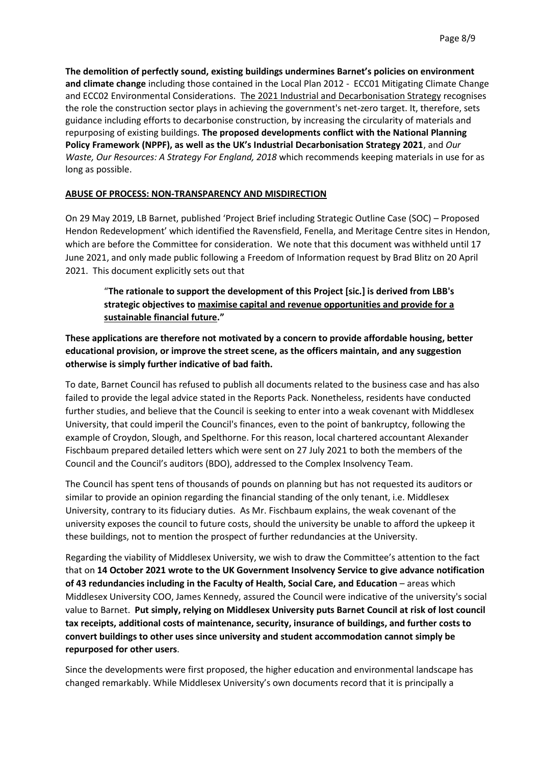**The demolition of perfectly sound, existing buildings undermines Barnet's policies on environment and climate change** including those contained in the Local Plan 2012 - ECC01 Mitigating Climate Change and ECC02 Environmental Considerations. The 2021 Industrial and Decarbonisation Strategy recognises the role the construction sector plays in achieving the government's net-zero target. It, therefore, sets guidance including efforts to decarbonise construction, by increasing the circularity of materials and repurposing of existing buildings. **The proposed developments conflict with the National Planning Policy Framework (NPPF), as well as the UK's Industrial Decarbonisation Strategy 2021**, and *Our Waste, Our Resources: A Strategy For England, 2018* which recommends keeping materials in use for as long as possible.

# **ABUSE OF PROCESS: NON-TRANSPARENCY AND MISDIRECTION**

On 29 May 2019, LB Barnet, published 'Project Brief including Strategic Outline Case (SOC) – Proposed Hendon Redevelopment' which identified the Ravensfield, Fenella, and Meritage Centre sites in Hendon, which are before the Committee for consideration. We note that this document was withheld until 17 June 2021, and only made public following a Freedom of Information request by Brad Blitz on 20 April 2021. This document explicitly sets out that

"**The rationale to support the development of this Project [sic.] is derived from LBB's strategic objectives to maximise capital and revenue opportunities and provide for a sustainable financial future."** 

**These applications are therefore not motivated by a concern to provide affordable housing, better educational provision, or improve the street scene, as the officers maintain, and any suggestion otherwise is simply further indicative of bad faith.** 

To date, Barnet Council has refused to publish all documents related to the business case and has also failed to provide the legal advice stated in the Reports Pack. Nonetheless, residents have conducted further studies, and believe that the Council is seeking to enter into a weak covenant with Middlesex University, that could imperil the Council's finances, even to the point of bankruptcy, following the example of Croydon, Slough, and Spelthorne. For this reason, local chartered accountant Alexander Fischbaum prepared detailed letters which were sent on 27 July 2021 to both the members of the Council and the Council's auditors (BDO), addressed to the Complex Insolvency Team.

The Council has spent tens of thousands of pounds on planning but has not requested its auditors or similar to provide an opinion regarding the financial standing of the only tenant, i.e. Middlesex University, contrary to its fiduciary duties. As Mr. Fischbaum explains, the weak covenant of the university exposes the council to future costs, should the university be unable to afford the upkeep it these buildings, not to mention the prospect of further redundancies at the University.

Regarding the viability of Middlesex University, we wish to draw the Committee's attention to the fact that on **14 October 2021 wrote to the UK Government Insolvency Service to give advance notification of 43 redundancies including in the Faculty of Health, Social Care, and Education** – areas which Middlesex University COO, James Kennedy, assured the Council were indicative of the university's social value to Barnet. **Put simply, relying on Middlesex University puts Barnet Council at risk of lost council tax receipts, additional costs of maintenance, security, insurance of buildings, and further costs to convert buildings to other uses since university and student accommodation cannot simply be repurposed for other users**.

Since the developments were first proposed, the higher education and environmental landscape has changed remarkably. While Middlesex University's own documents record that it is principally a